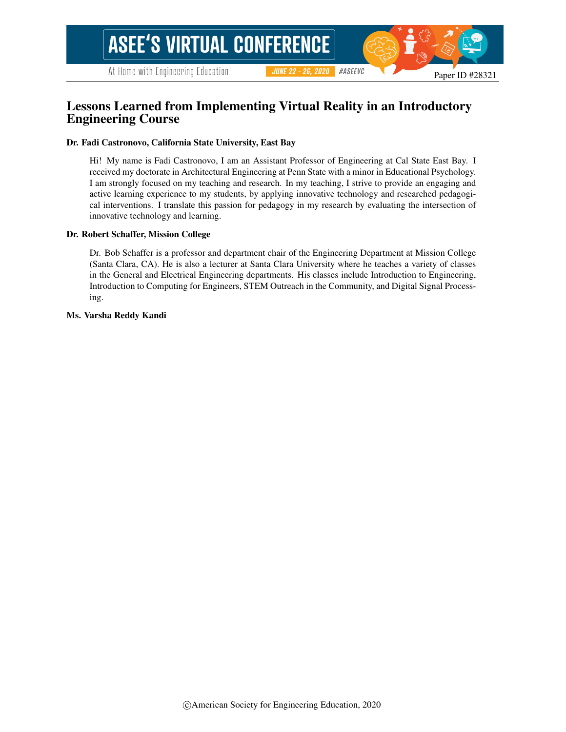#### #ASEEVC **JUNE 22 - 26, 2020**

# Lessons Learned from Implementing Virtual Reality in an Introductory Engineering Course

#### Dr. Fadi Castronovo, California State University, East Bay

Hi! My name is Fadi Castronovo, I am an Assistant Professor of Engineering at Cal State East Bay. I received my doctorate in Architectural Engineering at Penn State with a minor in Educational Psychology. I am strongly focused on my teaching and research. In my teaching, I strive to provide an engaging and active learning experience to my students, by applying innovative technology and researched pedagogical interventions. I translate this passion for pedagogy in my research by evaluating the intersection of innovative technology and learning.

#### Dr. Robert Schaffer, Mission College

Dr. Bob Schaffer is a professor and department chair of the Engineering Department at Mission College (Santa Clara, CA). He is also a lecturer at Santa Clara University where he teaches a variety of classes in the General and Electrical Engineering departments. His classes include Introduction to Engineering, Introduction to Computing for Engineers, STEM Outreach in the Community, and Digital Signal Processing.

#### Ms. Varsha Reddy Kandi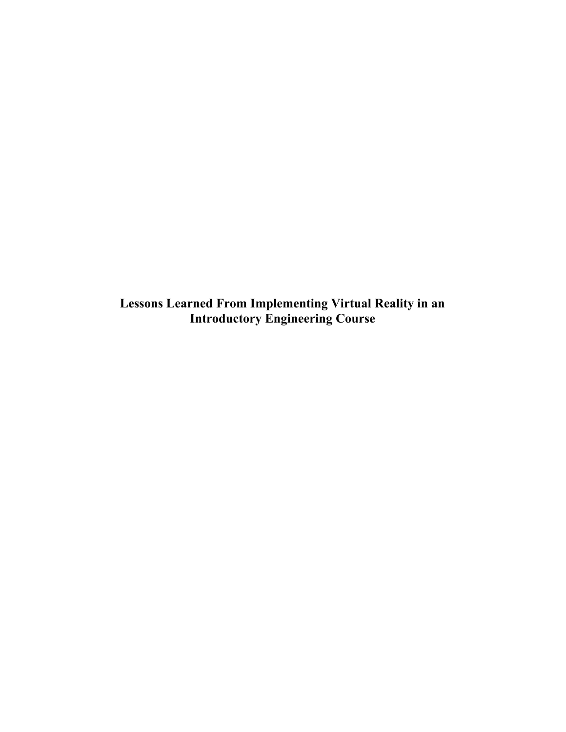**Lessons Learned From Implementing Virtual Reality in an Introductory Engineering Course**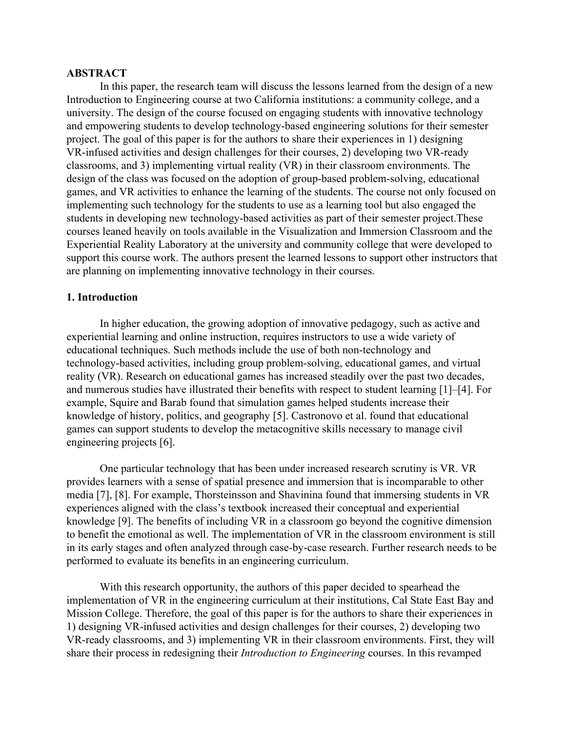#### **ABSTRACT**

In this paper, the research team will discuss the lessons learned from the design of a new Introduction to Engineering course at two California institutions: a community college, and a university. The design of the course focused on engaging students with innovative technology and empowering students to develop technology-based engineering solutions for their semester project. The goal of this paper is for the authors to share their experiences in 1) designing VR-infused activities and design challenges for their courses, 2) developing two VR-ready classrooms, and 3) implementing virtual reality (VR) in their classroom environments. The design of the class was focused on the adoption of group-based problem-solving, educational games, and VR activities to enhance the learning of the students. The course not only focused on implementing such technology for the students to use as a learning tool but also engaged the students in developing new technology-based activities as part of their semester project.These courses leaned heavily on tools available in the Visualization and Immersion Classroom and the Experiential Reality Laboratory at the university and community college that were developed to support this course work. The authors present the learned lessons to support other instructors that are planning on implementing innovative technology in their courses.

#### **1. Introduction**

In higher education, the growing adoption of innovative pedagogy, such as active and experiential learning and online instruction, requires instructors to use a wide variety of educational techniques. Such methods include the use of both non-technology and technology-based activities, including group problem-solving, educational games, and virtual reality (VR). Research on educational games has increased steadily over the past two decades, and numerous studies have illustrated their benefits with respect to student learning [\[1\]–\[4\]](https://www.zotero.org/google-docs/?MMyZ3s). For example, Squire and Barab found that simulation games helped students increase their knowledge of history, politics, and geography [\[5\]](https://www.zotero.org/google-docs/?4VL9Nr). Castronovo et al. found that educational games can support students to develop the metacognitive skills necessary to manage civil engineering projects [\[6\].](https://www.zotero.org/google-docs/?Dc3sFS)

One particular technology that has been under increased research scrutiny is VR. VR provides learners with a sense of spatial presence and immersion that is incomparable to other media [\[7\], \[8\]](https://www.zotero.org/google-docs/?czkHG2). For example, Thorsteinsson and Shavinina found that immersing students in VR experiences aligned with the class's textbook increased their conceptual and experiential knowledge [\[9\].](https://www.zotero.org/google-docs/?P88prc) The benefits of including VR in a classroom go beyond the cognitive dimension to benefit the emotional as well. The implementation of VR in the classroom environment is still in its early stages and often analyzed through case-by-case research. Further research needs to be performed to evaluate its benefits in an engineering curriculum.

With this research opportunity, the authors of this paper decided to spearhead the implementation of VR in the engineering curriculum at their institutions, Cal State East Bay and Mission College. Therefore, the goal of this paper is for the authors to share their experiences in 1) designing VR-infused activities and design challenges for their courses, 2) developing two VR-ready classrooms, and 3) implementing VR in their classroom environments. First, they will share their process in redesigning their *Introduction to Engineering* courses. In this revamped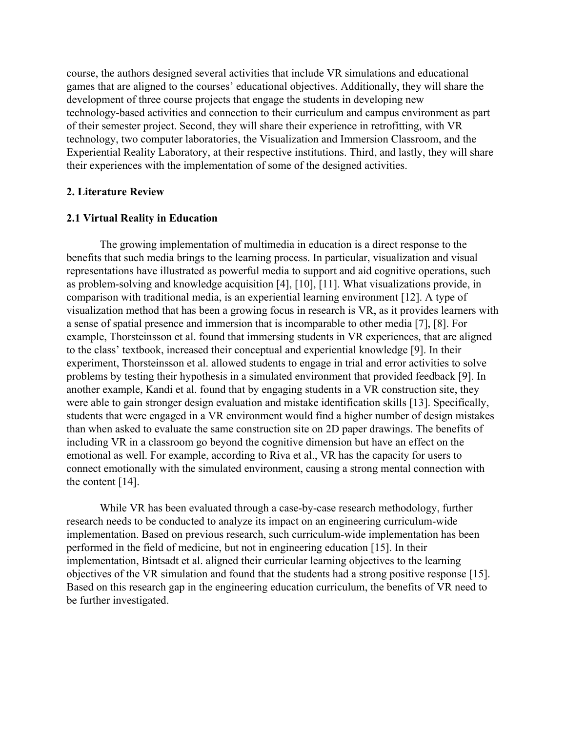course, the authors designed several activities that include VR simulations and educational games that are aligned to the courses' educational objectives. Additionally, they will share the development of three course projects that engage the students in developing new technology-based activities and connection to their curriculum and campus environment as part of their semester project. Second, they will share their experience in retrofitting, with VR technology, two computer laboratories, the Visualization and Immersion Classroom, and the Experiential Reality Laboratory, at their respective institutions. Third, and lastly, they will share their experiences with the implementation of some of the designed activities.

#### **2. Literature Review**

#### **2.1 Virtual Reality in Education**

The growing implementation of multimedia in education is a direct response to the benefits that such media brings to the learning process. In particular, visualization and visual representations have illustrated as powerful media to support and aid cognitive operations, such as problem-solving and knowledge acquisition [\[4\], \[10\], \[11\].](https://www.zotero.org/google-docs/?0Db8oF) What visualizations provide, in comparison with traditional media, is an experiential learning environment [\[12\].](https://www.zotero.org/google-docs/?nytsrX) A type of visualization method that has been a growing focus in research is VR, as it provides learners with a sense of spatial presence and immersion that is incomparable to other media [\[7\], \[8\].](https://www.zotero.org/google-docs/?Tmfhgb) For example, Thorsteinsson et al. found that immersing students in VR experiences, that are aligned to the class' textbook, increased their conceptual and experiential knowledge [\[9\]](https://www.zotero.org/google-docs/?Q9UQru). In their experiment, Thorsteinsson et al. allowed students to engage in trial and error activities to solve problems by testing their hypothesis in a simulated environment that provided feedback [\[9\].](https://www.zotero.org/google-docs/?jn0J9T) In another example, Kandi et al. found that by engaging students in a VR construction site, they were able to gain stronger design evaluation and mistake identification skills [\[13\].](https://www.zotero.org/google-docs/?ebGQlu) Specifically, students that were engaged in a VR environment would find a higher number of design mistakes than when asked to evaluate the same construction site on 2D paper drawings. The benefits of including VR in a classroom go beyond the cognitive dimension but have an effect on the emotional as well. For example, according to Riva et al., VR has the capacity for users to connect emotionally with the simulated environment, causing a strong mental connection with the content [\[14\].](https://www.zotero.org/google-docs/?F5biEi)

While VR has been evaluated through a case-by-case research methodology, further research needs to be conducted to analyze its impact on an engineering curriculum-wide implementation. Based on previous research, such curriculum-wide implementation has been performed in the field of medicine, but not in engineering education [\[15\].](https://www.zotero.org/google-docs/?9GIIj5) In their implementation, Bintsadt et al. aligned their curricular learning objectives to the learning objectives of the VR simulation and found that the students had a strong positive response [\[15\]](https://www.zotero.org/google-docs/?rfjyq9). Based on this research gap in the engineering education curriculum, the benefits of VR need to be further investigated.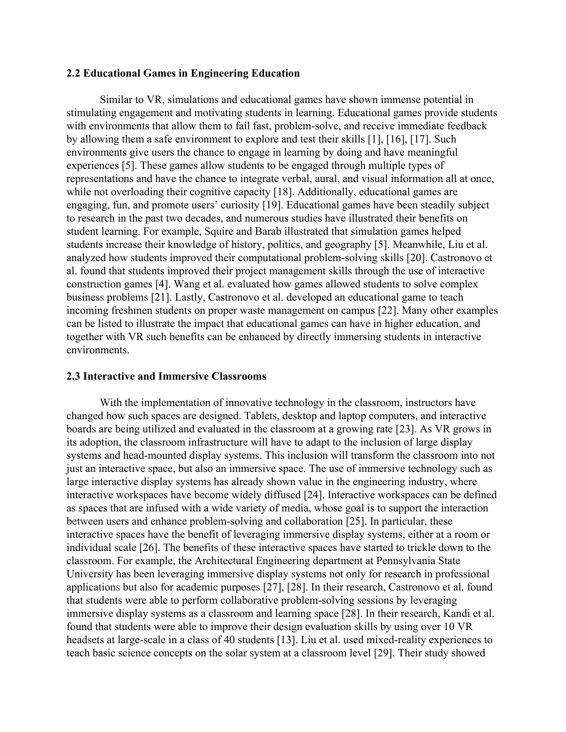#### **2.2 Educational Games in Engineering Education**

Similar to VR, simulations and educational games have shown immense potential in stimulating engagement and motivating students in learning. Educational games provide students with environments that allow them to fail fast, problem-solve, and receive immediate feedback by allowing them a safe environment to explore and test their skills [\[1\], \[16\], \[17\].](https://www.zotero.org/google-docs/?nsK7ht) Such environments give users the chance to engage in learning by doing and have meaningful experiences [\[5\].](https://www.zotero.org/google-docs/?rcoAq2) These games allow students to be engaged through multiple types of representations and have the chance to integrate verbal, aural, and visual information all at once, while not overloading their cognitive capacity [\[18\].](https://www.zotero.org/google-docs/?cGigoL) Additionally, educational games are engaging, fun, and promote users' curiosity [\[19\].](https://www.zotero.org/google-docs/?OmgBsF) Educational games have been steadily subject to research in the past two decades, and numerous studies have illustrated their benefits on student learning. For example, Squire and Barab illustrated that simulation games helped students increase their knowledge of history, politics, and geography [\[5\].](https://www.zotero.org/google-docs/?hfFYdq) Meanwhile, Liu et al. analyzed how students improved their computational problem-solving skills [\[20\].](https://www.zotero.org/google-docs/?ZUBGFU) Castronovo et al. found that students improved their project management skills through the use of interactive construction games [\[4\].](https://www.zotero.org/google-docs/?jkRp6G) Wang et al. evaluated how games allowed students to solve complex business problems [\[21\]](https://www.zotero.org/google-docs/?RoyMkl). Lastly, Castronovo et al. developed an educational game to teach incoming freshmen students on proper waste management on campus [\[22\].](https://www.zotero.org/google-docs/?l3D5If) Many other examples can be listed to illustrate the impact that educational games can have in higher education, and together with VR such benefits can be enhanced by directly immersing students in interactive environments.

# **2.3 Interactive and Immersive Classrooms**

With the implementation of innovative technology in the classroom, instructors have changed how such spaces are designed. Tablets, desktop and laptop computers, and interactive boards are being utilized and evaluated in the classroom at a growing rate [\[23\]](https://www.zotero.org/google-docs/?Ef21DV). As VR grows in its adoption, the classroom infrastructure will have to adapt to the inclusion of large display systems and head-mounted display systems. This inclusion will transform the classroom into not just an interactive space, but also an immersive space. The use of immersive technology such as large interactive display systems has already shown value in the engineering industry, where interactive workspaces have become widely diffused [\[24\].](https://www.zotero.org/google-docs/?fxopfa) Interactive workspaces can be defined as spaces that are infused with a wide variety of media, whose goal is to support the interaction between users and enhance problem-solving and collaboration [\[25\]](https://www.zotero.org/google-docs/?dpj9V4). In particular, these interactive spaces have the benefit of leveraging immersive display systems, either at a room or individual scale [\[26\].](https://www.zotero.org/google-docs/?mXcClg) The benefits of these interactive spaces have started to trickle down to the classroom. For example, the Architectural Engineering department at Pennsylvania State University has been leveraging immersive display systems not only for research in professional applications but also for academic purposes [\[27\], \[28\].](https://www.zotero.org/google-docs/?hgfRSa) In their research, Castronovo et al. found that students were able to perform collaborative problem-solving sessions by leveraging immersive display systems as a classroom and learning space [\[28\]](https://www.zotero.org/google-docs/?WZbDyu). In their research, Kandi et al. found that students were able to improve their design evaluation skills by using over 10 VR headsets at large-scale in a class of 40 students [\[13\].](https://www.zotero.org/google-docs/?rTSP4t) Liu et al. used mixed-reality experiences to teach basic science concepts on the solar system at a classroom level [\[29\]](https://www.zotero.org/google-docs/?zSh4wz). Their study showed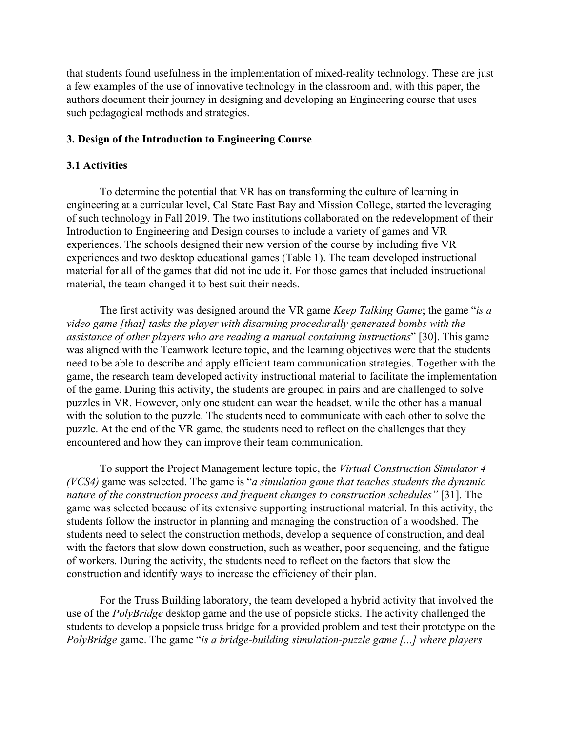that students found usefulness in the implementation of mixed-reality technology. These are just a few examples of the use of innovative technology in the classroom and, with this paper, the authors document their journey in designing and developing an Engineering course that uses such pedagogical methods and strategies.

# **3. Design of the Introduction to Engineering Course**

#### **3.1 Activities**

To determine the potential that VR has on transforming the culture of learning in engineering at a curricular level, Cal State East Bay and Mission College, started the leveraging of such technology in Fall 2019. The two institutions collaborated on the redevelopment of their Introduction to Engineering and Design courses to include a variety of games and VR experiences. The schools designed their new version of the course by including five VR experiences and two desktop educational games (Table 1). The team developed instructional material for all of the games that did not include it. For those games that included instructional material, the team changed it to best suit their needs.

The first activity was designed around the VR game *Keep Talking Game*; the game "*is a video game [that] tasks the player with disarming procedurally generated bombs with the assistance of other players who are reading a manual containing instructions*" [\[30\].](https://www.zotero.org/google-docs/?0wc6wU) This game was aligned with the Teamwork lecture topic, and the learning objectives were that the students need to be able to describe and apply efficient team communication strategies. Together with the game, the research team developed activity instructional material to facilitate the implementation of the game. During this activity, the students are grouped in pairs and are challenged to solve puzzles in VR. However, only one student can wear the headset, while the other has a manual with the solution to the puzzle. The students need to communicate with each other to solve the puzzle. At the end of the VR game, the students need to reflect on the challenges that they encountered and how they can improve their team communication.

To support the Project Management lecture topic, the *Virtual Construction Simulator 4 (VCS4)* game was selected. The game is "*a simulation game that teaches students the dynamic nature of the construction process and frequent changes to construction schedules"* [\[31\].](https://www.zotero.org/google-docs/?Nt9lMx) The game was selected because of its extensive supporting instructional material. In this activity, the students follow the instructor in planning and managing the construction of a woodshed. The students need to select the construction methods, develop a sequence of construction, and deal with the factors that slow down construction, such as weather, poor sequencing, and the fatigue of workers. During the activity, the students need to reflect on the factors that slow the construction and identify ways to increase the efficiency of their plan.

For the Truss Building laboratory, the team developed a hybrid activity that involved the use of the *PolyBridge* desktop game and the use of popsicle sticks. The activity challenged the students to develop a popsicle truss bridge for a provided problem and test their prototype on the *PolyBridge* game. The game "*is a bridge-building simulation-puzzle game [...] where players*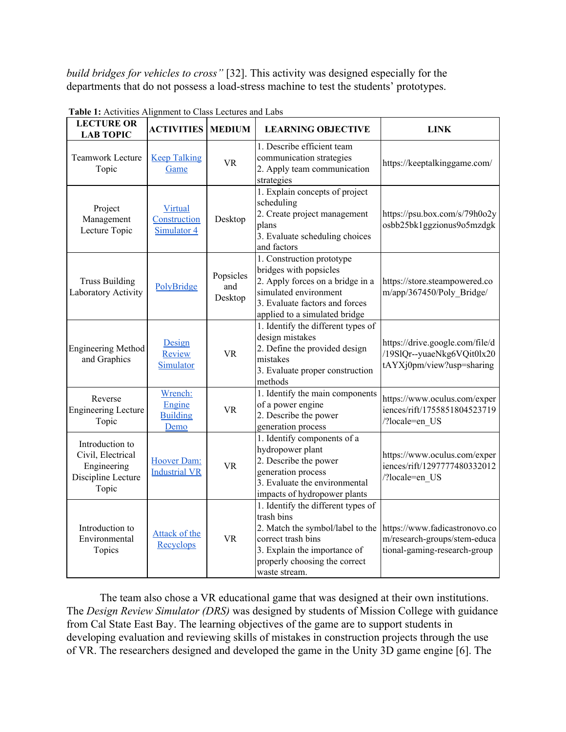*build bridges for vehicles to cross"* [\[32\].](https://www.zotero.org/google-docs/?oFjgSX) This activity was designed especially for the departments that do not possess a load-stress machine to test the students' prototypes.

| <b>LECTURE OR</b><br><b>LAB TOPIC</b>                                              | <b>ACTIVITIES</b>                            | <b>MEDIUM</b>               | <b>LEARNING OBJECTIVE</b>                                                                                                                                                                    | <b>LINK</b>                                                                                   |
|------------------------------------------------------------------------------------|----------------------------------------------|-----------------------------|----------------------------------------------------------------------------------------------------------------------------------------------------------------------------------------------|-----------------------------------------------------------------------------------------------|
| Teamwork Lecture<br>Topic                                                          | <b>Keep Talking</b><br>Game                  | <b>VR</b>                   | 1. Describe efficient team<br>communication strategies<br>2. Apply team communication<br>strategies                                                                                          | https://keeptalkinggame.com/                                                                  |
| Project<br>Management<br>Lecture Topic                                             | Virtual<br>Construction<br>Simulator 4       | Desktop                     | 1. Explain concepts of project<br>scheduling<br>2. Create project management<br>plans<br>3. Evaluate scheduling choices<br>and factors                                                       | https://psu.box.com/s/79h0o2y<br>osbb25bk1ggzionus9o5mzdgk                                    |
| <b>Truss Building</b><br>Laboratory Activity                                       | PolyBridge                                   | Popsicles<br>and<br>Desktop | 1. Construction prototype<br>bridges with popsicles<br>2. Apply forces on a bridge in a<br>simulated environment<br>3. Evaluate factors and forces<br>applied to a simulated bridge          | https://store.steampowered.co<br>m/app/367450/Poly Bridge/                                    |
| <b>Engineering Method</b><br>and Graphics                                          | Design<br>Review<br>Simulator                | <b>VR</b>                   | 1. Identify the different types of<br>design mistakes<br>2. Define the provided design<br>mistakes<br>3. Evaluate proper construction<br>methods                                             | https://drive.google.com/file/d<br>/19SlQr--yuaeNkg6VQit0lx20<br>tAYXj0pm/view?usp=sharing    |
| Reverse<br><b>Engineering Lecture</b><br>Topic                                     | Wrench:<br>Engine<br><b>Building</b><br>Demo | <b>VR</b>                   | 1. Identify the main components<br>of a power engine<br>2. Describe the power<br>generation process                                                                                          | https://www.oculus.com/exper<br>iences/rift/1755851804523719<br>/?locale=en US                |
| Introduction to<br>Civil, Electrical<br>Engineering<br>Discipline Lecture<br>Topic | Hoover Dam:<br><b>Industrial VR</b>          | <b>VR</b>                   | 1. Identify components of a<br>hydropower plant<br>2. Describe the power<br>generation process<br>3. Evaluate the environmental<br>impacts of hydropower plants                              | https://www.oculus.com/exper<br>iences/rift/1297777480332012<br>/?locale=en US                |
| Introduction to<br>Environmental<br>Topics                                         | Attack of the<br>Recyclops                   | <b>VR</b>                   | 1. Identify the different types of<br>trash bins<br>2. Match the symbol/label to the<br>correct trash bins<br>3. Explain the importance of<br>properly choosing the correct<br>waste stream. | https://www.fadicastronovo.co<br>m/research-groups/stem-educa<br>tional-gaming-research-group |

**Table 1:** Activities Alignment to Class Lectures and Labs

The team also chose a VR educational game that was designed at their own institutions. The *Design Review Simulator (DRS)* was designed by students of Mission College with guidance from Cal State East Bay. The learning objectives of the game are to support students in developing evaluation and reviewing skills of mistakes in construction projects through the use of VR. The researchers designed and developed the game in the Unity 3D game engine [\[6\]](https://www.zotero.org/google-docs/?jH63ol). The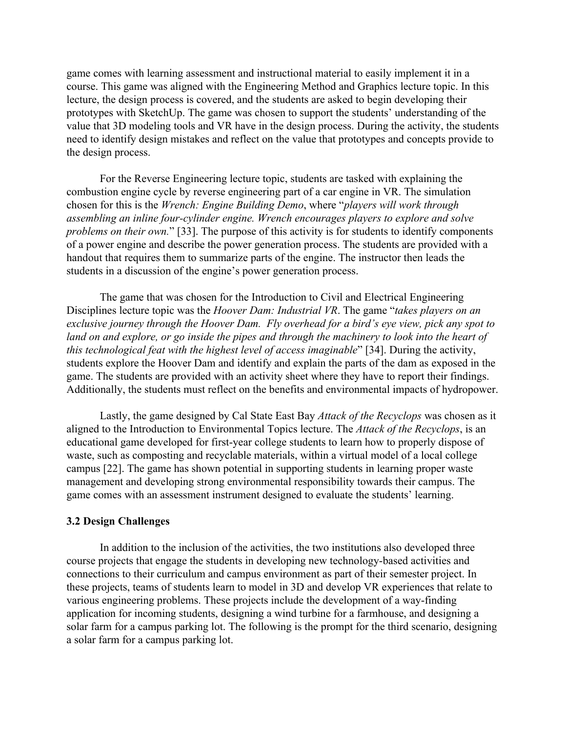game comes with learning assessment and instructional material to easily implement it in a course. This game was aligned with the Engineering Method and Graphics lecture topic. In this lecture, the design process is covered, and the students are asked to begin developing their prototypes with SketchUp. The game was chosen to support the students' understanding of the value that 3D modeling tools and VR have in the design process. During the activity, the students need to identify design mistakes and reflect on the value that prototypes and concepts provide to the design process.

For the Reverse Engineering lecture topic, students are tasked with explaining the combustion engine cycle by reverse engineering part of a car engine in VR. The simulation chosen for this is the *Wrench: Engine Building Demo*, where "*players will work through assembling an inline four-cylinder engine. Wrench encourages players to explore and solve problems on their own.*" [\[33\].](https://www.zotero.org/google-docs/?LqfggH) The purpose of this activity is for students to identify components of a power engine and describe the power generation process. The students are provided with a handout that requires them to summarize parts of the engine. The instructor then leads the students in a discussion of the engine's power generation process.

The game that was chosen for the Introduction to Civil and Electrical Engineering Disciplines lecture topic was the *Hoover Dam: Industrial VR*. The game "*takes players on an exclusive journey through the Hoover Dam. Fly overhead for a bird's eye view, pick any spot to land on and explore, or go inside the pipes and through the machinery to look into the heart of this technological feat with the highest level of access imaginable*" [\[34\].](https://www.zotero.org/google-docs/?e4s8IR) During the activity, students explore the Hoover Dam and identify and explain the parts of the dam as exposed in the game. The students are provided with an activity sheet where they have to report their findings. Additionally, the students must reflect on the benefits and environmental impacts of hydropower.

Lastly, the game designed by Cal State East Bay *Attack of the Recyclops* was chosen as it aligned to the Introduction to Environmental Topics lecture. The *Attack of the Recyclops*, is an educational game developed for first-year college students to learn how to properly dispose of waste, such as composting and recyclable materials, within a virtual model of a local college campus [\[22\].](https://www.zotero.org/google-docs/?UUjV5G) The game has shown potential in supporting students in learning proper waste management and developing strong environmental responsibility towards their campus. The game comes with an assessment instrument designed to evaluate the students' learning.

#### **3.2 Design Challenges**

In addition to the inclusion of the activities, the two institutions also developed three course projects that engage the students in developing new technology-based activities and connections to their curriculum and campus environment as part of their semester project. In these projects, teams of students learn to model in 3D and develop VR experiences that relate to various engineering problems. These projects include the development of a way-finding application for incoming students, designing a wind turbine for a farmhouse, and designing a solar farm for a campus parking lot. The following is the prompt for the third scenario, designing a solar farm for a campus parking lot.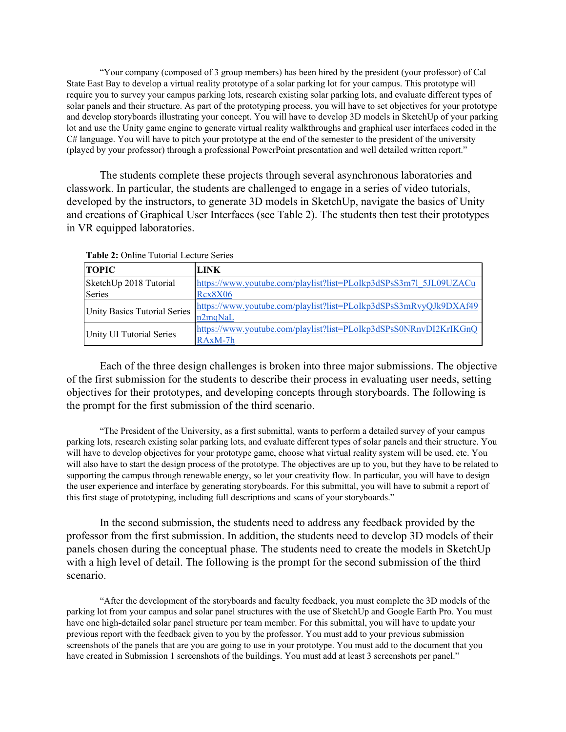"Your company (composed of 3 group members) has been hired by the president (your professor) of Cal State East Bay to develop a virtual reality prototype of a solar parking lot for your campus. This prototype will require you to survey your campus parking lots, research existing solar parking lots, and evaluate different types of solar panels and their structure. As part of the prototyping process, you will have to set objectives for your prototype and develop storyboards illustrating your concept. You will have to develop 3D models in SketchUp of your parking lot and use the Unity game engine to generate virtual reality walkthroughs and graphical user interfaces coded in the C# language. You will have to pitch your prototype at the end of the semester to the president of the university (played by your professor) through a professional PowerPoint presentation and well detailed written report."

The students complete these projects through several asynchronous laboratories and classwork. In particular, the students are challenged to engage in a series of video tutorials, developed by the instructors, to generate 3D models in SketchUp, navigate the basics of Unity and creations of Graphical User Interfaces (see Table 2). The students then test their prototypes in VR equipped laboratories.

| <b>TOPIC</b>                 | LINK                                                              |  |  |  |
|------------------------------|-------------------------------------------------------------------|--|--|--|
| SketchUp 2018 Tutorial       | https://www.youtube.com/playlist?list=PLoIkp3dSPsS3m7l_5JL09UZACu |  |  |  |
| Series                       | <b>Rcx8X06</b>                                                    |  |  |  |
| Unity Basics Tutorial Series | https://www.youtube.com/playlist?list=PLoIkp3dSPsS3mRvyQJk9DXAf49 |  |  |  |
|                              | n2maNaL                                                           |  |  |  |
|                              | https://www.youtube.com/playlist?list=PLoIkp3dSPsS0NRnvDI2KrIKGnQ |  |  |  |
| Unity UI Tutorial Series     | $RAxM-7h$                                                         |  |  |  |

**Table 2:** Online Tutorial Lecture Series

Each of the three design challenges is broken into three major submissions. The objective of the first submission for the students to describe their process in evaluating user needs, setting objectives for their prototypes, and developing concepts through storyboards. The following is the prompt for the first submission of the third scenario.

"The President of the University, as a first submittal, wants to perform a detailed survey of your campus parking lots, research existing solar parking lots, and evaluate different types of solar panels and their structure. You will have to develop objectives for your prototype game, choose what virtual reality system will be used, etc. You will also have to start the design process of the prototype. The objectives are up to you, but they have to be related to supporting the campus through renewable energy, so let your creativity flow. In particular, you will have to design the user experience and interface by generating storyboards. For this submittal, you will have to submit a report of this first stage of prototyping, including full descriptions and scans of your storyboards."

In the second submission, the students need to address any feedback provided by the professor from the first submission. In addition, the students need to develop 3D models of their panels chosen during the conceptual phase. The students need to create the models in SketchUp with a high level of detail. The following is the prompt for the second submission of the third scenario.

"After the development of the storyboards and faculty feedback, you must complete the 3D models of the parking lot from your campus and solar panel structures with the use of SketchUp and Google Earth Pro. You must have one high-detailed solar panel structure per team member. For this submittal, you will have to update your previous report with the feedback given to you by the professor. You must add to your previous submission screenshots of the panels that are you are going to use in your prototype. You must add to the document that you have created in Submission 1 screenshots of the buildings. You must add at least 3 screenshots per panel."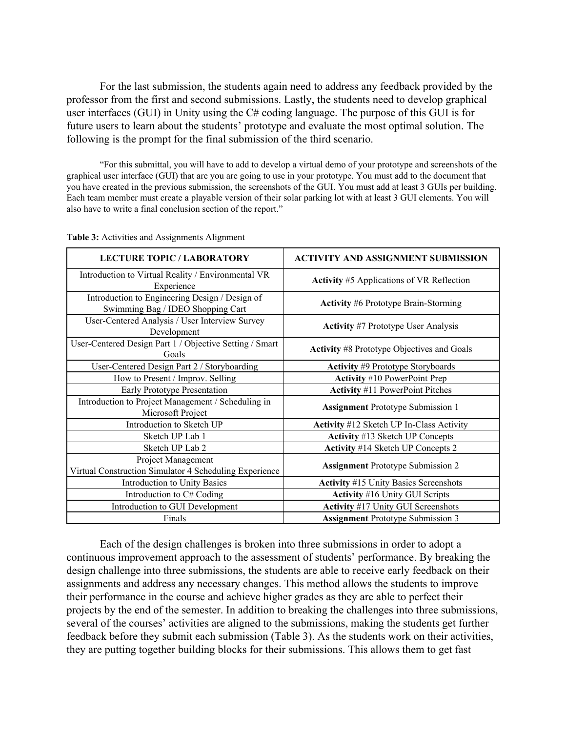For the last submission, the students again need to address any feedback provided by the professor from the first and second submissions. Lastly, the students need to develop graphical user interfaces (GUI) in Unity using the C# coding language. The purpose of this GUI is for future users to learn about the students' prototype and evaluate the most optimal solution. The following is the prompt for the final submission of the third scenario.

"For this submittal, you will have to add to develop a virtual demo of your prototype and screenshots of the graphical user interface (GUI) that are you are going to use in your prototype. You must add to the document that you have created in the previous submission, the screenshots of the GUI. You must add at least 3 GUIs per building. Each team member must create a playable version of their solar parking lot with at least 3 GUI elements. You will also have to write a final conclusion section of the report."

| <b>LECTURE TOPIC / LABORATORY</b>                                                   | <b>ACTIVITY AND ASSIGNMENT SUBMISSION</b>         |  |
|-------------------------------------------------------------------------------------|---------------------------------------------------|--|
| Introduction to Virtual Reality / Environmental VR<br>Experience                    | Activity #5 Applications of VR Reflection         |  |
| Introduction to Engineering Design / Design of<br>Swimming Bag / IDEO Shopping Cart | <b>Activity #6 Prototype Brain-Storming</b>       |  |
| User-Centered Analysis / User Interview Survey<br>Development                       | <b>Activity #7 Prototype User Analysis</b>        |  |
| User-Centered Design Part 1 / Objective Setting / Smart<br>Goals                    | <b>Activity #8 Prototype Objectives and Goals</b> |  |
| User-Centered Design Part 2 / Storyboarding                                         | Activity #9 Prototype Storyboards                 |  |
| How to Present / Improv. Selling                                                    | <b>Activity #10 PowerPoint Prep</b>               |  |
| Early Prototype Presentation                                                        | <b>Activity #11 PowerPoint Pitches</b>            |  |
| Introduction to Project Management / Scheduling in<br>Microsoft Project             | <b>Assignment</b> Prototype Submission 1          |  |
| Introduction to Sketch UP                                                           | Activity #12 Sketch UP In-Class Activity          |  |
| Sketch UP Lab 1                                                                     | Activity #13 Sketch UP Concepts                   |  |
| Sketch UP Lab 2                                                                     | Activity #14 Sketch UP Concepts 2                 |  |
| Project Management<br>Virtual Construction Simulator 4 Scheduling Experience        | <b>Assignment</b> Prototype Submission 2          |  |
| Introduction to Unity Basics                                                        | <b>Activity #15 Unity Basics Screenshots</b>      |  |
| Introduction to C# Coding                                                           | <b>Activity</b> #16 Unity GUI Scripts             |  |
| Introduction to GUI Development                                                     | Activity #17 Unity GUI Screenshots                |  |
| Finals                                                                              | <b>Assignment</b> Prototype Submission 3          |  |

**Table 3:** Activities and Assignments Alignment

Each of the design challenges is broken into three submissions in order to adopt a continuous improvement approach to the assessment of students' performance. By breaking the design challenge into three submissions, the students are able to receive early feedback on their assignments and address any necessary changes. This method allows the students to improve their performance in the course and achieve higher grades as they are able to perfect their projects by the end of the semester. In addition to breaking the challenges into three submissions, several of the courses' activities are aligned to the submissions, making the students get further feedback before they submit each submission (Table 3). As the students work on their activities, they are putting together building blocks for their submissions. This allows them to get fast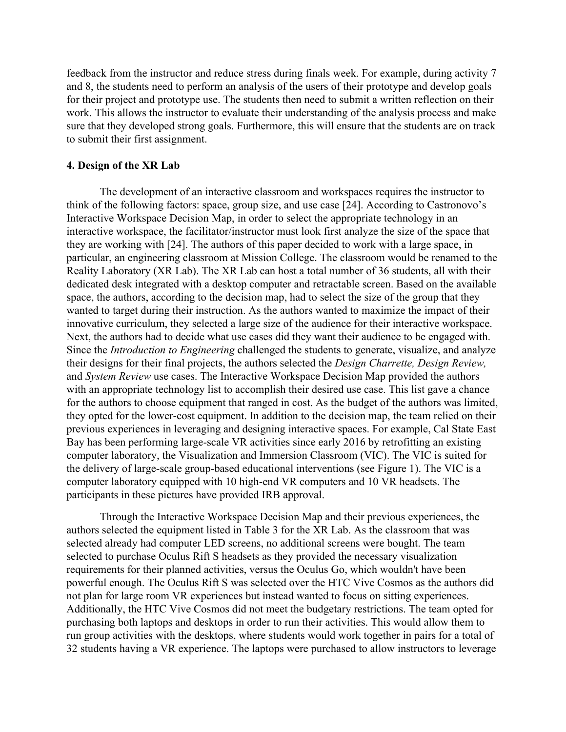feedback from the instructor and reduce stress during finals week. For example, during activity 7 and 8, the students need to perform an analysis of the users of their prototype and develop goals for their project and prototype use. The students then need to submit a written reflection on their work. This allows the instructor to evaluate their understanding of the analysis process and make sure that they developed strong goals. Furthermore, this will ensure that the students are on track to submit their first assignment.

#### **4. Design of the XR Lab**

The development of an interactive classroom and workspaces requires the instructor to think of the following factors: space, group size, and use case [\[24\]](https://www.zotero.org/google-docs/?2eyVWl). According to Castronovo's Interactive Workspace Decision Map, in order to select the appropriate technology in an interactive workspace, the facilitator/instructor must look first analyze the size of the space that they are working with [\[24\].](https://www.zotero.org/google-docs/?yVrs2c) The authors of this paper decided to work with a large space, in particular, an engineering classroom at Mission College. The classroom would be renamed to the Reality Laboratory (XR Lab). The XR Lab can host a total number of 36 students, all with their dedicated desk integrated with a desktop computer and retractable screen. Based on the available space, the authors, according to the decision map, had to select the size of the group that they wanted to target during their instruction. As the authors wanted to maximize the impact of their innovative curriculum, they selected a large size of the audience for their interactive workspace. Next, the authors had to decide what use cases did they want their audience to be engaged with. Since the *Introduction to Engineering* challenged the students to generate, visualize, and analyze their designs for their final projects, the authors selected the *Design Charrette, Design Review,* and *System Review* use cases. The Interactive Workspace Decision Map provided the authors with an appropriate technology list to accomplish their desired use case. This list gave a chance for the authors to choose equipment that ranged in cost. As the budget of the authors was limited, they opted for the lower-cost equipment. In addition to the decision map, the team relied on their previous experiences in leveraging and designing interactive spaces. For example, Cal State East Bay has been performing large-scale VR activities since early 2016 by retrofitting an existing computer laboratory, the Visualization and Immersion Classroom (VIC). The VIC is suited for the delivery of large-scale group-based educational interventions (see Figure 1). The VIC is a computer laboratory equipped with 10 high-end VR computers and 10 VR headsets. The participants in these pictures have provided IRB approval.

Through the Interactive Workspace Decision Map and their previous experiences, the authors selected the equipment listed in Table 3 for the XR Lab. As the classroom that was selected already had computer LED screens, no additional screens were bought. The team selected to purchase Oculus Rift S headsets as they provided the necessary visualization requirements for their planned activities, versus the Oculus Go, which wouldn't have been powerful enough. The Oculus Rift S was selected over the HTC Vive Cosmos as the authors did not plan for large room VR experiences but instead wanted to focus on sitting experiences. Additionally, the HTC Vive Cosmos did not meet the budgetary restrictions. The team opted for purchasing both laptops and desktops in order to run their activities. This would allow them to run group activities with the desktops, where students would work together in pairs for a total of 32 students having a VR experience. The laptops were purchased to allow instructors to leverage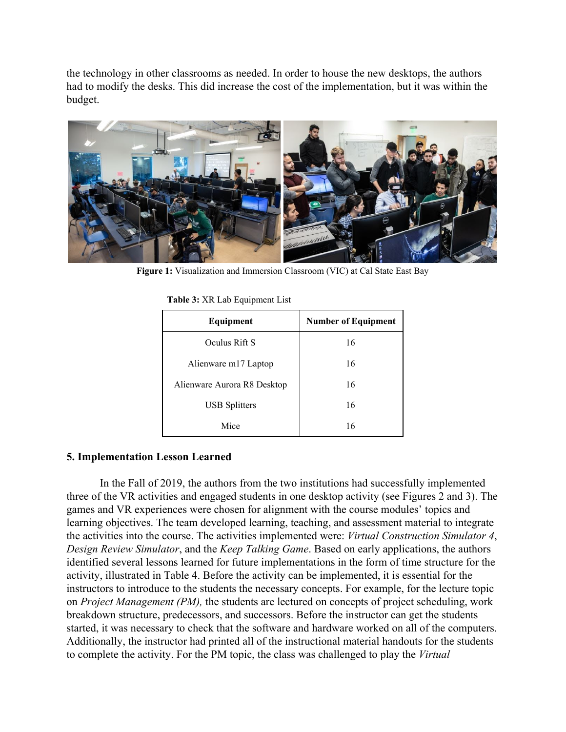the technology in other classrooms as needed. In order to house the new desktops, the authors had to modify the desks. This did increase the cost of the implementation, but it was within the budget.



**Figure 1:** Visualization and Immersion Classroom (VIC) at Cal State East Bay

| Equipment                   | <b>Number of Equipment</b> |
|-----------------------------|----------------------------|
| Oculus Rift S               | 16                         |
| Alienware m17 Laptop        | 16                         |
| Alienware Aurora R8 Desktop | 16                         |
| <b>USB</b> Splitters        | 16                         |
| Mice                        | 16                         |

**Table 3:** XR Lab Equipment List

# **5. Implementation Lesson Learned**

In the Fall of 2019, the authors from the two institutions had successfully implemented three of the VR activities and engaged students in one desktop activity (see Figures 2 and 3). The games and VR experiences were chosen for alignment with the course modules' topics and learning objectives. The team developed learning, teaching, and assessment material to integrate the activities into the course. The activities implemented were: *Virtual Construction Simulator 4*, *Design Review Simulator*, and the *Keep Talking Game*. Based on early applications, the authors identified several lessons learned for future implementations in the form of time structure for the activity, illustrated in Table 4. Before the activity can be implemented, it is essential for the instructors to introduce to the students the necessary concepts. For example, for the lecture topic on *Project Management (PM),* the students are lectured on concepts of project scheduling, work breakdown structure, predecessors, and successors. Before the instructor can get the students started, it was necessary to check that the software and hardware worked on all of the computers. Additionally, the instructor had printed all of the instructional material handouts for the students to complete the activity. For the PM topic, the class was challenged to play the *Virtual*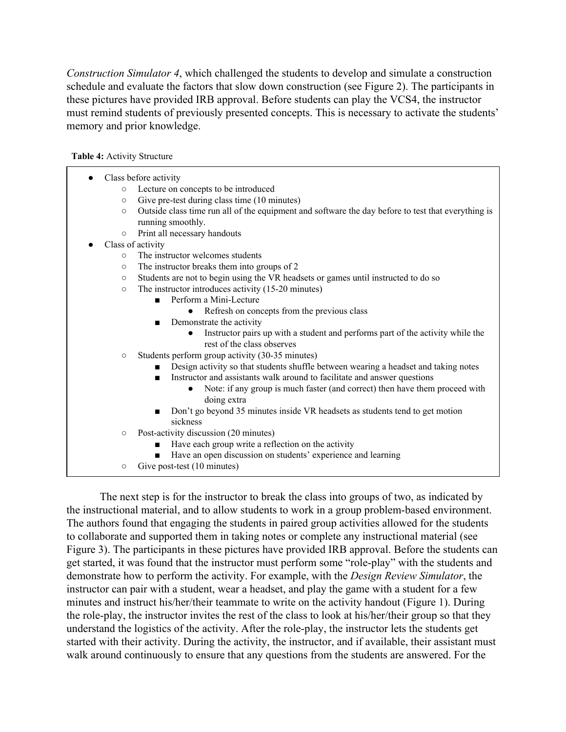*Construction Simulator 4*, which challenged the students to develop and simulate a construction schedule and evaluate the factors that slow down construction (see Figure 2). The participants in these pictures have provided IRB approval. Before students can play the VCS4, the instructor must remind students of previously presented concepts. This is necessary to activate the students' memory and prior knowledge.

**Table 4:** Activity Structure

- Class before activity
	- Lecture on concepts to be introduced
	- Give pre-test during class time (10 minutes)
	- Outside class time run all of the equipment and software the day before to test that everything is running smoothly.
	- Print all necessary handouts
- Class of activity
	- The instructor welcomes students
	- The instructor breaks them into groups of 2
	- Students are not to begin using the VR headsets or games until instructed to do so
	- The instructor introduces activity (15-20 minutes)
		- Perform a Mini-Lecture
			- Refresh on concepts from the previous class
		- Demonstrate the activity
			- Instructor pairs up with a student and performs part of the activity while the rest of the class observes
	- Students perform group activity (30-35 minutes)
		- Design activity so that students shuffle between wearing a headset and taking notes
		- Instructor and assistants walk around to facilitate and answer questions
			- Note: if any group is much faster (and correct) then have them proceed with doing extra
		- Don't go beyond 35 minutes inside VR headsets as students tend to get motion sickness
	- Post-activity discussion (20 minutes)
		- Have each group write a reflection on the activity
		- Have an open discussion on students' experience and learning
	- Give post-test (10 minutes)

The next step is for the instructor to break the class into groups of two, as indicated by the instructional material, and to allow students to work in a group problem-based environment. The authors found that engaging the students in paired group activities allowed for the students to collaborate and supported them in taking notes or complete any instructional material (see Figure 3). The participants in these pictures have provided IRB approval. Before the students can get started, it was found that the instructor must perform some "role-play" with the students and demonstrate how to perform the activity. For example, with the *Design Review Simulator*, the instructor can pair with a student, wear a headset, and play the game with a student for a few minutes and instruct his/her/their teammate to write on the activity handout (Figure 1). During the role-play, the instructor invites the rest of the class to look at his/her/their group so that they understand the logistics of the activity. After the role-play, the instructor lets the students get started with their activity. During the activity, the instructor, and if available, their assistant must walk around continuously to ensure that any questions from the students are answered. For the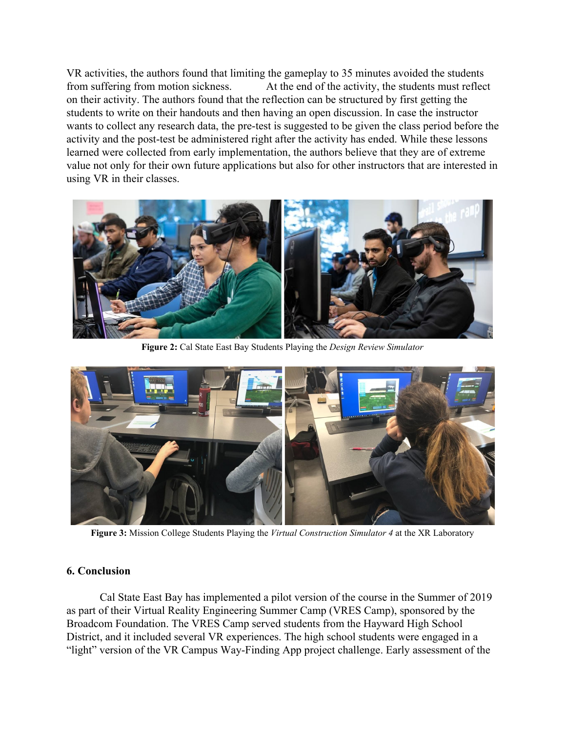VR activities, the authors found that limiting the gameplay to 35 minutes avoided the students from suffering from motion sickness. At the end of the activity, the students must reflect on their activity. The authors found that the reflection can be structured by first getting the students to write on their handouts and then having an open discussion. In case the instructor wants to collect any research data, the pre-test is suggested to be given the class period before the activity and the post-test be administered right after the activity has ended. While these lessons learned were collected from early implementation, the authors believe that they are of extreme value not only for their own future applications but also for other instructors that are interested in using VR in their classes.



**Figure 2:** Cal State East Bay Students Playing the *Design Review Simulator*



**Figure 3:** Mission College Students Playing the *Virtual Construction Simulator 4* at the XR Laboratory

# **6. Conclusion**

Cal State East Bay has implemented a pilot version of the course in the Summer of 2019 as part of their Virtual Reality Engineering Summer Camp (VRES Camp), sponsored by the Broadcom Foundation. The VRES Camp served students from the Hayward High School District, and it included several VR experiences. The high school students were engaged in a "light" version of the VR Campus Way-Finding App project challenge. Early assessment of the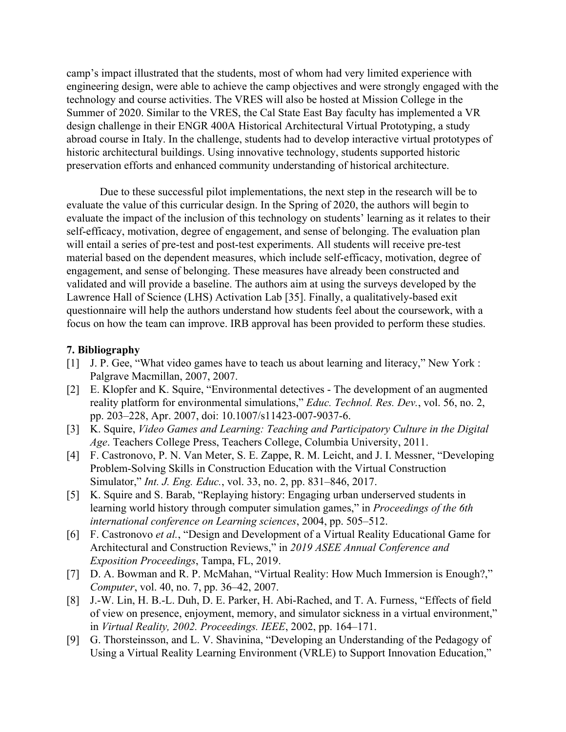camp's impact illustrated that the students, most of whom had very limited experience with engineering design, were able to achieve the camp objectives and were strongly engaged with the technology and course activities. The VRES will also be hosted at Mission College in the Summer of 2020. Similar to the VRES, the Cal State East Bay faculty has implemented a VR design challenge in their ENGR 400A Historical Architectural Virtual Prototyping, a study abroad course in Italy. In the challenge, students had to develop interactive virtual prototypes of historic architectural buildings. Using innovative technology, students supported historic preservation efforts and enhanced community understanding of historical architecture.

Due to these successful pilot implementations, the next step in the research will be to evaluate the value of this curricular design. In the Spring of 2020, the authors will begin to evaluate the impact of the inclusion of this technology on students' learning as it relates to their self-efficacy, motivation, degree of engagement, and sense of belonging. The evaluation plan will entail a series of pre-test and post-test experiments. All students will receive pre-test material based on the dependent measures, which include self-efficacy, motivation, degree of engagement, and sense of belonging. These measures have already been constructed and validated and will provide a baseline. The authors aim at using the surveys developed by the Lawrence Hall of Science (LHS) Activation Lab [\[35\]](https://www.zotero.org/google-docs/?Ilx4J5). Finally, a qualitatively-based exit questionnaire will help the authors understand how students feel about the coursework, with a focus on how the team can improve. IRB approval has been provided to perform these studies.

#### **7. Bibliography**

- [\[1\]](https://www.zotero.org/google-docs/?HtNGa4) [J. P. Gee, "What video games have to teach us about learning and literacy," New York](https://www.zotero.org/google-docs/?HtNGa4) : [Palgrave Macmillan, 2007, 2007.](https://www.zotero.org/google-docs/?HtNGa4)
- [\[2\]](https://www.zotero.org/google-docs/?HtNGa4) [E. Klopfer and K. Squire, "Environmental detectives The development of an augmented](https://www.zotero.org/google-docs/?HtNGa4) [reality platform for environmental simulations,"](https://www.zotero.org/google-docs/?HtNGa4) *[Educ. Technol. Res. Dev.](https://www.zotero.org/google-docs/?HtNGa4)*[, vol. 56, no. 2,](https://www.zotero.org/google-docs/?HtNGa4) [pp. 203–228, Apr. 2007, doi: 10.1007/s11423-007-9037-6.](https://www.zotero.org/google-docs/?HtNGa4)
- [\[3\]](https://www.zotero.org/google-docs/?HtNGa4) [K. Squire,](https://www.zotero.org/google-docs/?HtNGa4) *[Video Games and Learning: Teaching and Participatory Culture in the Digital](https://www.zotero.org/google-docs/?HtNGa4) [Age](https://www.zotero.org/google-docs/?HtNGa4)*[. Teachers College Press, Teachers College, Columbia University, 2011.](https://www.zotero.org/google-docs/?HtNGa4)
- [\[4\]](https://www.zotero.org/google-docs/?HtNGa4) [F. Castronovo, P. N. Van Meter, S. E. Zappe, R. M. Leicht, and J. I. Messner, "Developing](https://www.zotero.org/google-docs/?HtNGa4) [Problem-Solving Skills in Construction Education with the Virtual Construction](https://www.zotero.org/google-docs/?HtNGa4) [Simulator,"](https://www.zotero.org/google-docs/?HtNGa4) *[Int. J. Eng. Educ.](https://www.zotero.org/google-docs/?HtNGa4)*[, vol. 33, no. 2, pp. 831–846, 2017.](https://www.zotero.org/google-docs/?HtNGa4)
- [\[5\]](https://www.zotero.org/google-docs/?HtNGa4) [K. Squire and S. Barab, "Replaying history: Engaging urban underserved students in](https://www.zotero.org/google-docs/?HtNGa4) [learning world history through computer simulation games," in](https://www.zotero.org/google-docs/?HtNGa4) *[Proceedings of the 6th](https://www.zotero.org/google-docs/?HtNGa4) [international conference on Learning sciences](https://www.zotero.org/google-docs/?HtNGa4)*[, 2004, pp. 505–512.](https://www.zotero.org/google-docs/?HtNGa4)
- [\[6\]](https://www.zotero.org/google-docs/?HtNGa4) [F. Castronovo](https://www.zotero.org/google-docs/?HtNGa4) *[et al.](https://www.zotero.org/google-docs/?HtNGa4)*[, "Design and Development of a Virtual Reality Educational Game for](https://www.zotero.org/google-docs/?HtNGa4) [Architectural and Construction Reviews," in](https://www.zotero.org/google-docs/?HtNGa4) *[2019 ASEE Annual Conference and](https://www.zotero.org/google-docs/?HtNGa4) [Exposition Proceedings](https://www.zotero.org/google-docs/?HtNGa4)*[, Tampa, FL, 2019.](https://www.zotero.org/google-docs/?HtNGa4)
- [\[7\]](https://www.zotero.org/google-docs/?HtNGa4) [D. A. Bowman and R. P. McMahan, "Virtual Reality: How Much Immersion is Enough?,"](https://www.zotero.org/google-docs/?HtNGa4) *[Computer](https://www.zotero.org/google-docs/?HtNGa4)*[, vol. 40, no. 7, pp. 36–42, 2007.](https://www.zotero.org/google-docs/?HtNGa4)
- [\[8\]](https://www.zotero.org/google-docs/?HtNGa4) [J.-W. Lin, H. B.-L. Duh, D. E. Parker, H. Abi-Rached, and T. A. Furness, "Effects of field](https://www.zotero.org/google-docs/?HtNGa4) [of view on presence, enjoyment, memory, and simulator sickness in a virtual environment,"](https://www.zotero.org/google-docs/?HtNGa4) [in](https://www.zotero.org/google-docs/?HtNGa4) *[Virtual Reality, 2002. Proceedings. IEEE](https://www.zotero.org/google-docs/?HtNGa4)*[, 2002, pp. 164–171.](https://www.zotero.org/google-docs/?HtNGa4)
- [\[9\]](https://www.zotero.org/google-docs/?HtNGa4) [G. Thorsteinsson, and L. V. Shavinina, "Developing an Understanding of the Pedagogy of](https://www.zotero.org/google-docs/?HtNGa4) [Using a Virtual Reality Learning Environment \(VRLE\) to Support Innovation Education,"](https://www.zotero.org/google-docs/?HtNGa4)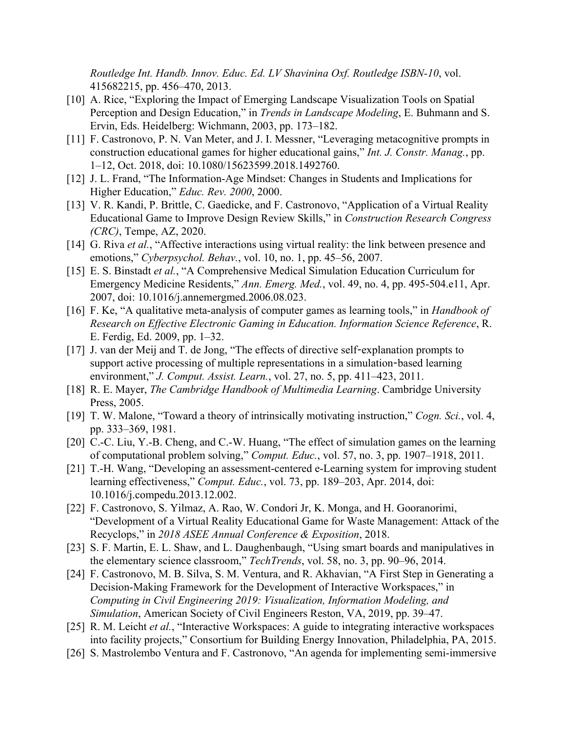*[Routledge Int. Handb. Innov. Educ. Ed. LV Shavinina Oxf. Routledge ISBN-10](https://www.zotero.org/google-docs/?HtNGa4)*[, vol.](https://www.zotero.org/google-docs/?HtNGa4) [415682215, pp. 456–470, 2013.](https://www.zotero.org/google-docs/?HtNGa4)

- [\[10\]](https://www.zotero.org/google-docs/?HtNGa4) [A. Rice, "Exploring the Impact of Emerging Landscape Visualization Tools on Spatial](https://www.zotero.org/google-docs/?HtNGa4) [Perception and Design Education," in](https://www.zotero.org/google-docs/?HtNGa4) *[Trends in Landscape Modeling](https://www.zotero.org/google-docs/?HtNGa4)*[, E. Buhmann and S.](https://www.zotero.org/google-docs/?HtNGa4) [Ervin, Eds. Heidelberg: Wichmann, 2003, pp. 173–182.](https://www.zotero.org/google-docs/?HtNGa4)
- [\[11\]](https://www.zotero.org/google-docs/?HtNGa4) [F. Castronovo, P. N. Van Meter, and J. I. Messner, "Leveraging metacognitive prompts in](https://www.zotero.org/google-docs/?HtNGa4) [construction educational games for higher educational gains,"](https://www.zotero.org/google-docs/?HtNGa4) *[Int. J. Constr. Manag.](https://www.zotero.org/google-docs/?HtNGa4)*[, pp.](https://www.zotero.org/google-docs/?HtNGa4) [1–12, Oct. 2018, doi: 10.1080/15623599.2018.1492760.](https://www.zotero.org/google-docs/?HtNGa4)
- [\[12\]](https://www.zotero.org/google-docs/?HtNGa4) [J. L. Frand, "The Information-Age Mindset: Changes in Students and Implications for](https://www.zotero.org/google-docs/?HtNGa4) [Higher Education,"](https://www.zotero.org/google-docs/?HtNGa4) *[Educ. Rev. 2000](https://www.zotero.org/google-docs/?HtNGa4)*[, 2000.](https://www.zotero.org/google-docs/?HtNGa4)
- [\[13\]](https://www.zotero.org/google-docs/?HtNGa4) [V. R. Kandi, P. Brittle, C. Gaedicke, and F. Castronovo, "Application of a Virtual Reality](https://www.zotero.org/google-docs/?HtNGa4) [Educational Game to Improve Design Review Skills," in](https://www.zotero.org/google-docs/?HtNGa4) *[Construction Research Congress](https://www.zotero.org/google-docs/?HtNGa4) [\(CRC\)](https://www.zotero.org/google-docs/?HtNGa4)*[, Tempe, AZ, 2020.](https://www.zotero.org/google-docs/?HtNGa4)
- [\[14\]](https://www.zotero.org/google-docs/?HtNGa4) [G. Riva](https://www.zotero.org/google-docs/?HtNGa4) *[et al.](https://www.zotero.org/google-docs/?HtNGa4)*[, "Affective interactions using virtual reality: the link between presence and](https://www.zotero.org/google-docs/?HtNGa4) [emotions,"](https://www.zotero.org/google-docs/?HtNGa4) *[Cyberpsychol. Behav.](https://www.zotero.org/google-docs/?HtNGa4)*[, vol. 10, no. 1, pp. 45–56, 2007.](https://www.zotero.org/google-docs/?HtNGa4)
- [\[15\]](https://www.zotero.org/google-docs/?HtNGa4) [E. S. Binstadt](https://www.zotero.org/google-docs/?HtNGa4) *[et al.](https://www.zotero.org/google-docs/?HtNGa4)*[, "A Comprehensive Medical Simulation Education Curriculum for](https://www.zotero.org/google-docs/?HtNGa4) [Emergency Medicine Residents,"](https://www.zotero.org/google-docs/?HtNGa4) *[Ann. Emerg. Med.](https://www.zotero.org/google-docs/?HtNGa4)*[, vol. 49, no. 4, pp. 495-504.e11, Apr.](https://www.zotero.org/google-docs/?HtNGa4) [2007, doi: 10.1016/j.annemergmed.2006.08.023.](https://www.zotero.org/google-docs/?HtNGa4)
- [\[16\]](https://www.zotero.org/google-docs/?HtNGa4) [F. Ke, "A qualitative meta-analysis of computer games as learning tools," in](https://www.zotero.org/google-docs/?HtNGa4) *[Handbook of](https://www.zotero.org/google-docs/?HtNGa4) [Research on Effective Electronic Gaming in Education. Information Science Reference](https://www.zotero.org/google-docs/?HtNGa4)*[, R.](https://www.zotero.org/google-docs/?HtNGa4) [E. Ferdig, Ed. 2009, pp. 1–32.](https://www.zotero.org/google-docs/?HtNGa4)
- [\[17\]](https://www.zotero.org/google-docs/?HtNGa4) [J. van der Meij and T. de Jong, "The effects of directive self](https://www.zotero.org/google-docs/?HtNGa4)-explanation prompts to [support active processing of multiple representations in a simulation](https://www.zotero.org/google-docs/?HtNGa4)-based learning [environment,"](https://www.zotero.org/google-docs/?HtNGa4) *[J. Comput. Assist. Learn.](https://www.zotero.org/google-docs/?HtNGa4)*[, vol. 27, no. 5, pp. 411–423, 2011.](https://www.zotero.org/google-docs/?HtNGa4)
- [\[18\]](https://www.zotero.org/google-docs/?HtNGa4) [R. E. Mayer,](https://www.zotero.org/google-docs/?HtNGa4) *[The Cambridge Handbook of Multimedia Learning](https://www.zotero.org/google-docs/?HtNGa4)*[. Cambridge University](https://www.zotero.org/google-docs/?HtNGa4) [Press, 2005.](https://www.zotero.org/google-docs/?HtNGa4)
- [\[19\]](https://www.zotero.org/google-docs/?HtNGa4) [T. W. Malone, "Toward a theory of intrinsically motivating instruction,"](https://www.zotero.org/google-docs/?HtNGa4) *[Cogn. Sci.](https://www.zotero.org/google-docs/?HtNGa4)*[, vol. 4,](https://www.zotero.org/google-docs/?HtNGa4) [pp. 333–369, 1981.](https://www.zotero.org/google-docs/?HtNGa4)
- [\[20\]](https://www.zotero.org/google-docs/?HtNGa4) [C.-C. Liu, Y.-B. Cheng, and C.-W. Huang, "The effect of simulation games on the learning](https://www.zotero.org/google-docs/?HtNGa4) [of computational problem solving,"](https://www.zotero.org/google-docs/?HtNGa4) *[Comput. Educ.](https://www.zotero.org/google-docs/?HtNGa4)*[, vol. 57, no. 3, pp. 1907–1918, 2011.](https://www.zotero.org/google-docs/?HtNGa4)
- [\[21\]](https://www.zotero.org/google-docs/?HtNGa4) [T.-H. Wang, "Developing an assessment-centered e-Learning system for improving student](https://www.zotero.org/google-docs/?HtNGa4) [learning effectiveness,"](https://www.zotero.org/google-docs/?HtNGa4) *[Comput. Educ.](https://www.zotero.org/google-docs/?HtNGa4)*[, vol. 73, pp. 189–203, Apr. 2014, doi:](https://www.zotero.org/google-docs/?HtNGa4) [10.1016/j.compedu.2013.12.002.](https://www.zotero.org/google-docs/?HtNGa4)
- [\[22\]](https://www.zotero.org/google-docs/?HtNGa4) [F. Castronovo, S. Yilmaz, A. Rao, W. Condori Jr, K. Monga, and H. Gooranorimi,](https://www.zotero.org/google-docs/?HtNGa4) ["Development of a Virtual Reality Educational Game for Waste Management: Attack of the](https://www.zotero.org/google-docs/?HtNGa4) [Recyclops," in](https://www.zotero.org/google-docs/?HtNGa4) *[2018 ASEE Annual Conference & Exposition](https://www.zotero.org/google-docs/?HtNGa4)*[, 2018.](https://www.zotero.org/google-docs/?HtNGa4)
- [\[23\]](https://www.zotero.org/google-docs/?HtNGa4) [S. F. Martin, E. L. Shaw, and L. Daughenbaugh, "Using smart boards and manipulatives in](https://www.zotero.org/google-docs/?HtNGa4) [the elementary science classroom,"](https://www.zotero.org/google-docs/?HtNGa4) *[TechTrends](https://www.zotero.org/google-docs/?HtNGa4)*[, vol. 58, no. 3, pp. 90–96, 2014.](https://www.zotero.org/google-docs/?HtNGa4)
- [\[24\]](https://www.zotero.org/google-docs/?HtNGa4) [F. Castronovo, M. B. Silva, S. M. Ventura, and R. Akhavian, "A First Step in Generating a](https://www.zotero.org/google-docs/?HtNGa4) [Decision-Making Framework for the Development of Interactive Workspaces," in](https://www.zotero.org/google-docs/?HtNGa4) *[Computing in Civil Engineering 2019: Visualization, Information Modeling, and](https://www.zotero.org/google-docs/?HtNGa4) [Simulation](https://www.zotero.org/google-docs/?HtNGa4)*[, American Society of Civil Engineers Reston, VA, 2019, pp. 39–47.](https://www.zotero.org/google-docs/?HtNGa4)
- [\[25\]](https://www.zotero.org/google-docs/?HtNGa4) [R. M. Leicht](https://www.zotero.org/google-docs/?HtNGa4) *[et al.](https://www.zotero.org/google-docs/?HtNGa4)*[, "Interactive Workspaces: A guide to integrating interactive workspaces](https://www.zotero.org/google-docs/?HtNGa4) [into facility projects," Consortium for Building Energy Innovation, Philadelphia, PA, 2015.](https://www.zotero.org/google-docs/?HtNGa4)
- [\[26\]](https://www.zotero.org/google-docs/?HtNGa4) [S. Mastrolembo Ventura and F. Castronovo, "An agenda for implementing semi-immersive](https://www.zotero.org/google-docs/?HtNGa4)